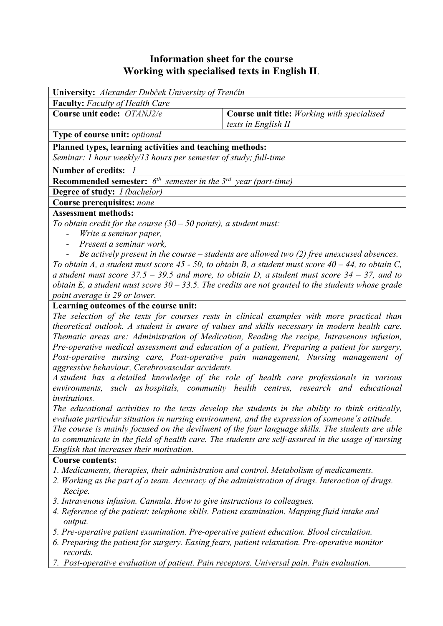# **Information sheet for the course Working with specialised texts in English II**.

| <b>University:</b> Alexander Dubček University of Trenčín                       |                                                    |  |  |  |  |
|---------------------------------------------------------------------------------|----------------------------------------------------|--|--|--|--|
| <b>Faculty:</b> Faculty of Health Care                                          |                                                    |  |  |  |  |
| Course unit code: OTANJ2/e                                                      | <b>Course unit title:</b> Working with specialised |  |  |  |  |
|                                                                                 | texts in English II                                |  |  |  |  |
| Type of course unit: <i>optional</i>                                            |                                                    |  |  |  |  |
| Planned types, learning activities and teaching methods:                        |                                                    |  |  |  |  |
| Seminar: 1 hour weekly/13 hours per semester of study; full-time                |                                                    |  |  |  |  |
| <b>Number of credits:</b>                                                       |                                                    |  |  |  |  |
| <b>Recommended semester:</b> $6^{th}$ semester in the $3^{rd}$ year (part-time) |                                                    |  |  |  |  |
| <b>Degree of study:</b> <i>I (bachelor)</i>                                     |                                                    |  |  |  |  |
| <b>Course prerequisites: none</b>                                               |                                                    |  |  |  |  |
| <b>Assessment methods:</b>                                                      |                                                    |  |  |  |  |
| To obtain credit for the course $(30 - 50$ points), a student must:             |                                                    |  |  |  |  |

- *Write a seminar paper,*
- *Present a seminar work,*
- *Be actively present in the course students are allowed two (2) free unexcused absences.*

*To obtain A, a student must score 45 - 50, to obtain B, a student must score 40 – 44, to obtain C, a student must score 37.5 – 39.5 and more, to obtain D, a student must score 34 – 37, and to obtain E, a student must score 30 – 33.5. The credits are not granted to the students whose grade point average is 29 or lower.*

#### **Learning outcomes of the course unit:**

*The selection of the texts for courses rests in clinical examples with more practical than theoretical outlook. A student is aware of values and skills necessary in modern health care. Thematic areas are: Administration of Medication, Reading the recipe, Intravenous infusion, Pre-operative medical assessment and education of a patient, Preparing a patient for surgery, Post-operative nursing care, Post-operative pain management, Nursing management of aggressive behaviour, Cerebrovascular accidents.* 

*A student has a detailed knowledge of the role of health care professionals in various environments, such as hospitals, community health centres, research and educational institutions.* 

*The educational activities to the texts develop the students in the ability to think critically, evaluate particular situation in nursing environment, and the expression of someone´s attitude.* 

*The course is mainly focused on the devilment of the four language skills. The students are able to communicate in the field of health care. The students are self-assured in the usage of nursing English that increases their motivation.*

#### **Course contents:**

- *1. Medicaments, therapies, their administration and control. Metabolism of medicaments.*
- *2. Working as the part of a team. Accuracy of the administration of drugs. Interaction of drugs. Recipe.*
- *3. Intravenous infusion. Cannula. How to give instructions to colleagues.*
- *4. Reference of the patient: telephone skills. Patient examination. Mapping fluid intake and output.*
- *5. Pre-operative patient examination. Pre-operative patient education. Blood circulation.*
- *6. Preparing the patient for surgery. Easing fears, patient relaxation. Pre-operative monitor records.*
- *7. Post-operative evaluation of patient. Pain receptors. Universal pain. Pain evaluation.*